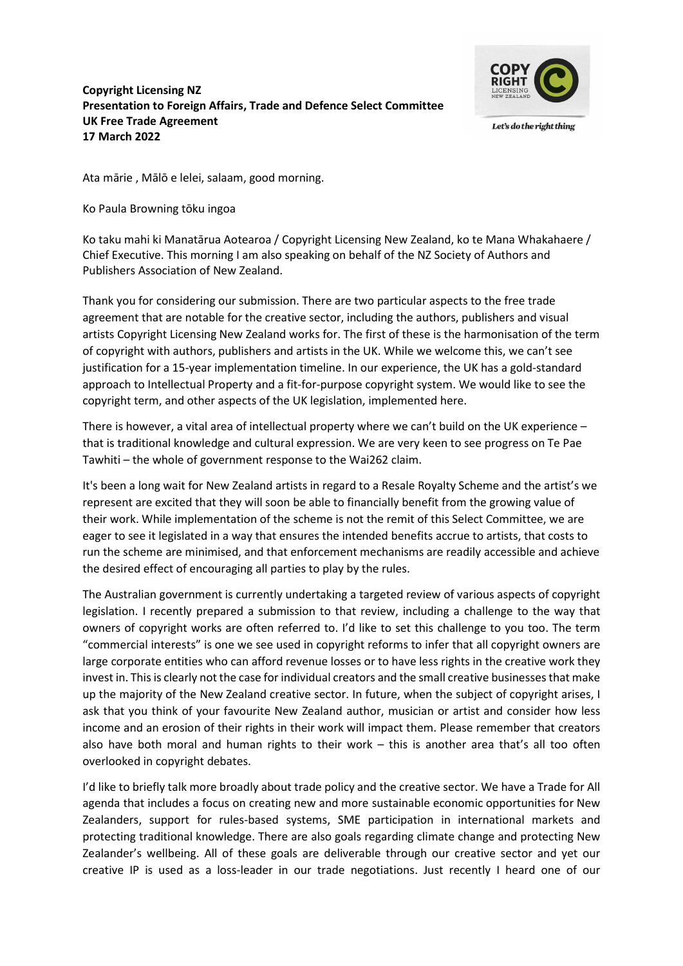## Copyright Licensing NZ Presentation to Foreign Affairs, Trade and Defence Select Committee UK Free Trade Agreement 17 March 2022



Ata mārie , Mālō e lelei, salaam, good morning.

Ko Paula Browning tōku ingoa

Ko taku mahi ki Manatārua Aotearoa / Copyright Licensing New Zealand, ko te Mana Whakahaere / Chief Executive. This morning I am also speaking on behalf of the NZ Society of Authors and Publishers Association of New Zealand.

Thank you for considering our submission. There are two particular aspects to the free trade agreement that are notable for the creative sector, including the authors, publishers and visual artists Copyright Licensing New Zealand works for. The first of these is the harmonisation of the term of copyright with authors, publishers and artists in the UK. While we welcome this, we can't see justification for a 15-year implementation timeline. In our experience, the UK has a gold-standard approach to Intellectual Property and a fit-for-purpose copyright system. We would like to see the copyright term, and other aspects of the UK legislation, implemented here.

There is however, a vital area of intellectual property where we can't build on the UK experience – that is traditional knowledge and cultural expression. We are very keen to see progress on Te Pae Tawhiti – the whole of government response to the Wai262 claim.

It's been a long wait for New Zealand artists in regard to a Resale Royalty Scheme and the artist's we represent are excited that they will soon be able to financially benefit from the growing value of their work. While implementation of the scheme is not the remit of this Select Committee, we are eager to see it legislated in a way that ensures the intended benefits accrue to artists, that costs to run the scheme are minimised, and that enforcement mechanisms are readily accessible and achieve the desired effect of encouraging all parties to play by the rules.

The Australian government is currently undertaking a targeted review of various aspects of copyright legislation. I recently prepared a submission to that review, including a challenge to the way that owners of copyright works are often referred to. I'd like to set this challenge to you too. The term "commercial interests" is one we see used in copyright reforms to infer that all copyright owners are large corporate entities who can afford revenue losses or to have less rights in the creative work they invest in. This is clearly not the case for individual creators and the small creative businesses that make up the majority of the New Zealand creative sector. In future, when the subject of copyright arises, I ask that you think of your favourite New Zealand author, musician or artist and consider how less income and an erosion of their rights in their work will impact them. Please remember that creators also have both moral and human rights to their work – this is another area that's all too often overlooked in copyright debates.

I'd like to briefly talk more broadly about trade policy and the creative sector. We have a Trade for All agenda that includes a focus on creating new and more sustainable economic opportunities for New Zealanders, support for rules-based systems, SME participation in international markets and protecting traditional knowledge. There are also goals regarding climate change and protecting New Zealander's wellbeing. All of these goals are deliverable through our creative sector and yet our creative IP is used as a loss-leader in our trade negotiations. Just recently I heard one of our